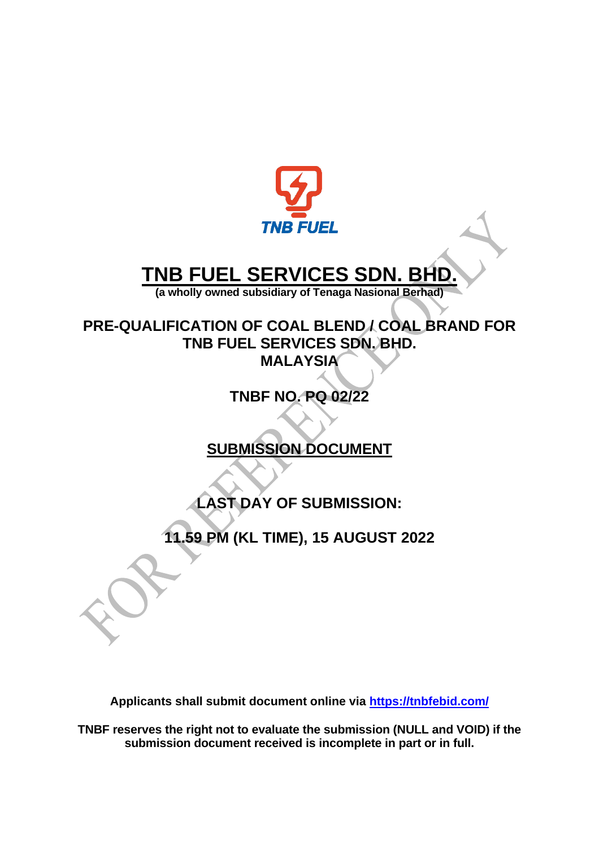

# **TNB FUEL SERVICES SDN. BH**

**(a wholly owned subsidiary of Tenaga Nasional Berhad)**

**PRE-QUALIFICATION OF COAL BLEND / COAL BRAND FOR TNB FUEL SERVICES SDN. BHD. MALAYSIA**

**TNBF NO. PQ 02/22**

**SUBMISSION DOCUMENT**

**LAST DAY OF SUBMISSION:**

**11.59 PM (KL TIME), 15 AUGUST 2022**

**Applicants shall submit document online via<https://tnbfebid.com/>**

**TNBF reserves the right not to evaluate the submission (NULL and VOID) if the submission document received is incomplete in part or in full.**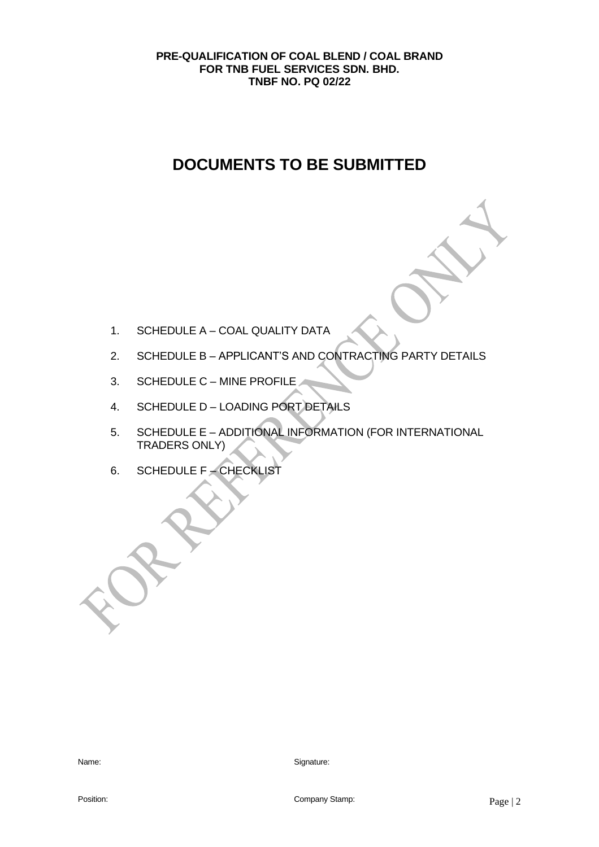## **DOCUMENTS TO BE SUBMITTED**

- 1. SCHEDULE A COAL QUALITY DATA
- 2. SCHEDULE B APPLICANT'S AND CONTRACTING PARTY DETAILS
- 3. SCHEDULE C MINE PROFILE
- 4. SCHEDULE D LOADING PORT DETAILS
- 5. SCHEDULE E ADDITIONAL INFORMATION (FOR INTERNATIONAL TRADERS ONLY)
- 6. SCHEDULE F CHECKLIST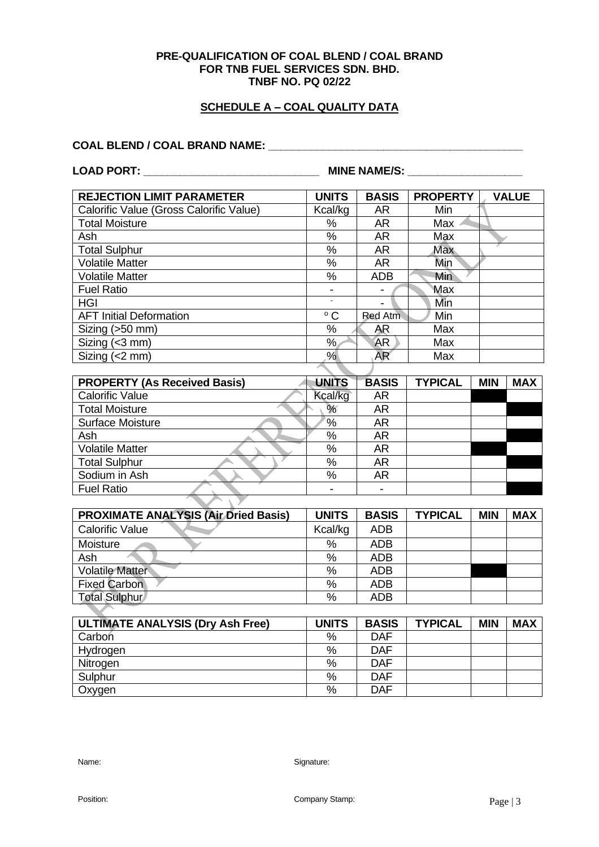## **SCHEDULE A – COAL QUALITY DATA**

#### **COAL BLEND / COAL BRAND NAME: \_\_\_\_\_\_\_\_\_\_\_\_\_\_\_\_\_\_\_\_\_\_\_\_\_\_\_\_\_\_\_\_\_\_\_\_\_\_\_\_\_\_**

**LOAD PORT: \_\_\_\_\_\_\_\_\_\_\_\_\_\_\_\_\_\_\_\_\_\_\_\_\_\_\_\_\_ MINE NAME/S: \_\_\_\_\_\_\_\_\_\_\_\_\_\_\_\_\_\_\_**

| <b>REJECTION LIMIT PARAMETER</b>        | <b>UNITS</b> | <b>BASIS</b>   | <b>PROPERTY</b> | <b>VALUE</b> |
|-----------------------------------------|--------------|----------------|-----------------|--------------|
| Calorific Value (Gross Calorific Value) | Kcal/kg      | AR.            | Min             |              |
| <b>Total Moisture</b>                   | %            | <b>AR</b>      | Max             |              |
| Ash                                     | %            | <b>AR</b>      | Max             |              |
| <b>Total Sulphur</b>                    | %            | <b>AR</b>      | <b>Max</b>      |              |
| <b>Volatile Matter</b>                  | %            | AR             | Min             |              |
| <b>Volatile Matter</b>                  | %            | <b>ADB</b>     | Min             |              |
| <b>Fuel Ratio</b>                       | -            | -              | <b>Max</b>      |              |
| <b>HGI</b>                              |              | -              | Min             |              |
| <b>AFT Initial Deformation</b>          | $^{\circ}$ C | Red Atm        | Min             |              |
| Sizing (>50 mm)                         | %            | AR             | Max             |              |
| Sizing (<3 mm)                          | %            | AR             | Max             |              |
| Sizing $(< 2$ mm)                       | %            | AR <sup></sup> | Max             |              |

| <b>PROPERTY (As Received Basis)</b> | <b>UNITS</b> | <b>BASIS</b> | <b>TYPICAL</b> | <b>MIN</b> | <b>MAX</b> |
|-------------------------------------|--------------|--------------|----------------|------------|------------|
| <b>Calorific Value</b>              | Kcal/kg      | <b>AR</b>    |                |            |            |
| <b>Total Moisture</b>               | %            | AR           |                |            |            |
| <b>Surface Moisture</b>             | %            | AR           |                |            |            |
| Ash                                 | %            | AR           |                |            |            |
| <b>Volatile Matter</b>              | %            | <b>AR</b>    |                |            |            |
| <b>Total Sulphur</b>                | %            | <b>AR</b>    |                |            |            |
| Sodium in Ash                       | %            | <b>AR</b>    |                |            |            |
| <b>Fuel Ratio</b>                   |              |              |                |            |            |

| <b>PROXIMATE ANALYSIS (Air Dried Basis)</b> | <b>UNITS</b> | <b>BASIS</b> | <b>TYPICAL</b> | <b>MIN</b> | <b>MAX</b> |
|---------------------------------------------|--------------|--------------|----------------|------------|------------|
| <b>Calorific Value</b>                      | Kcal/kg      | <b>ADB</b>   |                |            |            |
| Moisture                                    | %            | <b>ADB</b>   |                |            |            |
| Ash                                         | $\%$         | <b>ADB</b>   |                |            |            |
| <b>Volatile Matter</b>                      | $\%$         | <b>ADB</b>   |                |            |            |
| <b>Fixed Carbon</b>                         | $\%$         | <b>ADB</b>   |                |            |            |
| <b>Total Sulphur</b>                        | $\%$         | <b>ADB</b>   |                |            |            |

| <b>ULTIMATE ANALYSIS (Dry Ash Free)</b> | <b>UNITS</b> | <b>BASIS</b> | <b>TYPICAL</b> | <b>MIN</b> | <b>MAX</b> |
|-----------------------------------------|--------------|--------------|----------------|------------|------------|
| Carbon                                  | %            | <b>DAF</b>   |                |            |            |
| Hydrogen                                | %            | <b>DAF</b>   |                |            |            |
| Nitrogen                                | $\%$         | <b>DAF</b>   |                |            |            |
| Sulphur                                 | $\%$         | <b>DAF</b>   |                |            |            |
| Oxygen                                  | %            | <b>DAF</b>   |                |            |            |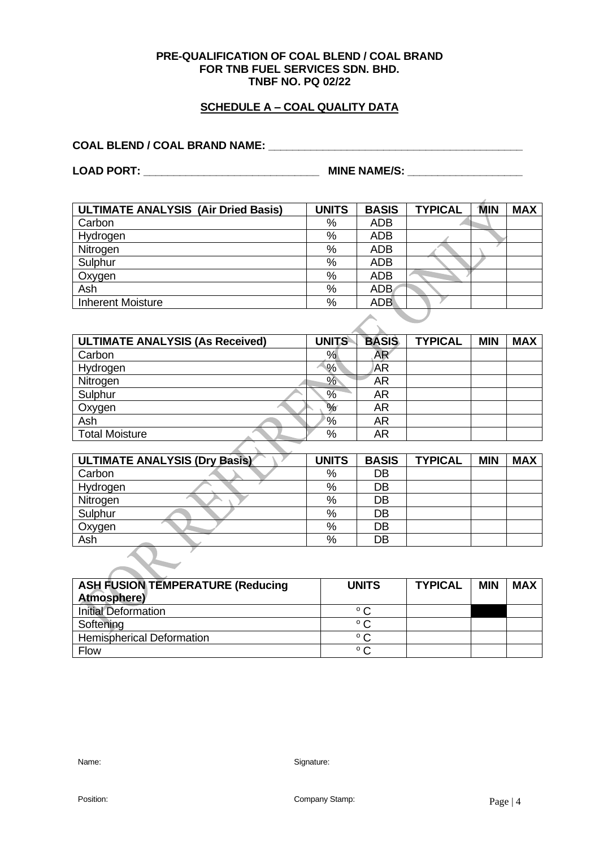#### **SCHEDULE A – COAL QUALITY DATA**

## **COAL BLEND / COAL BRAND NAME: \_\_\_\_\_\_\_\_\_\_\_\_\_\_\_\_\_\_\_\_\_\_\_\_\_\_\_\_\_\_\_\_\_\_\_\_\_\_\_\_\_\_**

**LOAD PORT: \_\_\_\_\_\_\_\_\_\_\_\_\_\_\_\_\_\_\_\_\_\_\_\_\_\_\_\_\_ MINE NAME/S: \_\_\_\_\_\_\_\_\_\_\_\_\_\_\_\_\_\_\_**

**ULTIMATE ANALYSIS (Air Dried Basis) UNITS BASIS TYPICAL MIN MAX** Carbon No. 1 % ADB a de la Hydrogen % ADB Nitrogen 2016<br>Sulphur 2016<br>Nitrogen 2016 Sulphur 30 Map 2012 1 Map 2013 1 Map 2014 1 Map 2014 1 Map 2016 1 Map 2014 1 Map 2016 1 Map 2016 1 Map 2016 1 Ma<br>
The Corygen 2014 1 Map 2016 1 Map 2016 1 Map 2016 1 Map 2016 1 Map 2016 1 Map 2016 1 Map 2016 1 Map 2016 1 M Oxygen 9% ADB Ash % ADB Inherent Moisture **Notifiable 2008** - 1

| <b>ULTIMATE ANALYSIS (As Received)</b> | <b>UNITS</b> | <b>BASIS</b>   | <b>TYPICAL</b> | <b>MIN</b> | <b>MAX</b> |
|----------------------------------------|--------------|----------------|----------------|------------|------------|
| Carbon                                 | %            | AR <sup></sup> |                |            |            |
| Hydrogen                               | %            | <b>AR</b>      |                |            |            |
| Nitrogen                               | %            | <b>AR</b>      |                |            |            |
| Sulphur                                | %            | AR             |                |            |            |
| Oxygen                                 | %            | AR             |                |            |            |
| Ash                                    | °%           | <b>AR</b>      |                |            |            |
| <b>Total Moisture</b>                  | $\%$         | <b>AR</b>      |                |            |            |
|                                        |              |                |                |            |            |

 $\infty$ 

| <b>ULTIMATE ANALYSIS (Dry Basis)</b> | <b>UNITS</b> | <b>BASIS</b> | <b>TYPICAL</b> | <b>MIN</b> | <b>MAX</b> |
|--------------------------------------|--------------|--------------|----------------|------------|------------|
| Carbon                               | %            | DB           |                |            |            |
| Hydrogen                             | %            | DB           |                |            |            |
| Nitrogen                             | %            | DB           |                |            |            |
| Sulphur                              | %            | DB           |                |            |            |
| Oxygen                               | %            | DB           |                |            |            |
| Ash                                  | %            | DB           |                |            |            |
|                                      |              |              |                |            |            |

| <b>ASH FUSION TEMPERATURE (Reducing</b><br><b>Atmosphere</b> ) | <b>UNITS</b> | <b>TYPICAL</b> | <b>MIN</b> | <b>MAX</b> |
|----------------------------------------------------------------|--------------|----------------|------------|------------|
| <b>Initial Deformation</b>                                     | $^{\circ}$ C |                |            |            |
| Softening                                                      | ۰C           |                |            |            |
| <b>Hemispherical Deformation</b>                               | ° C          |                |            |            |
| <b>Flow</b>                                                    | $^{\circ}$ C |                |            |            |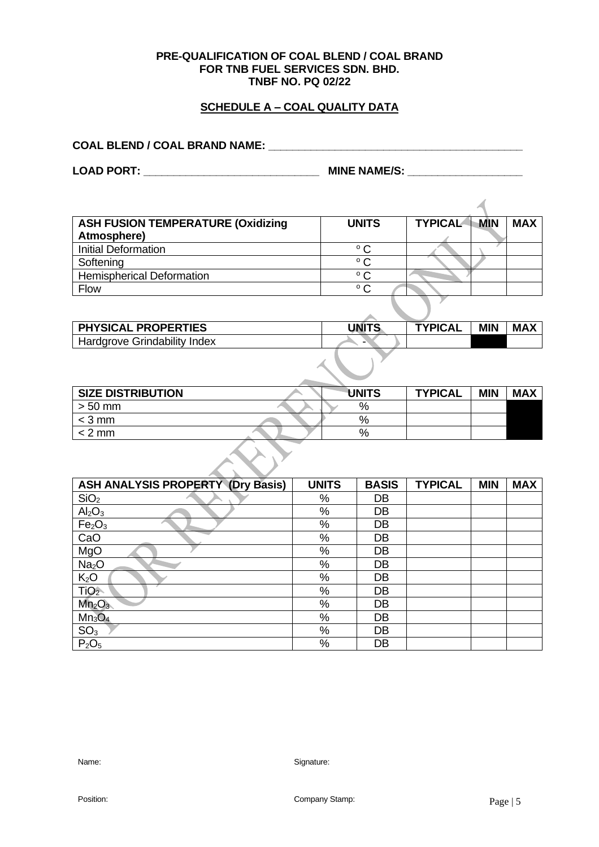## **SCHEDULE A – COAL QUALITY DATA**

**COAL BLEND / COAL BRAND NAME: \_\_\_\_\_\_\_\_\_\_\_\_\_\_\_\_\_\_\_\_\_\_\_\_\_\_\_\_\_\_\_\_\_\_\_\_\_\_\_\_\_\_** 

**LOAD PORT: \_\_\_\_\_\_\_\_\_\_\_\_\_\_\_\_\_\_\_\_\_\_\_\_\_\_\_\_\_ MINE NAME/S: \_\_\_\_\_\_\_\_\_\_\_\_\_\_\_\_\_\_\_**

| <b>ASH FUSION TEMPERATURE (Oxidizing</b> | <b>UNITS</b> | <b>TYPICAL</b> | MIN | <b>MAX</b> |
|------------------------------------------|--------------|----------------|-----|------------|
| Atmosphere)                              |              |                |     |            |
| <b>Initial Deformation</b>               | $^{\circ}$ C |                |     |            |
| Softening                                | $^{\circ}$ C |                |     |            |
| <b>Hemispherical Deformation</b>         | $^{\circ}$ C |                |     |            |
| Flow                                     | $^{\circ}$ C |                |     |            |

| <b>PHYSICAL</b><br><b>PROPERTIES</b> | UNITS | <b>TYPICAL</b> | <b>MIN</b> | <b>MAX</b> |
|--------------------------------------|-------|----------------|------------|------------|
| Grindability<br>Hardgrove<br>Index   | -     |                |            |            |

| <b>SIZE DISTRIBUTION</b> | <b>UNITS</b> | <b>TYPICAL</b> | <b>MIN</b> | <b>MAX</b> |
|--------------------------|--------------|----------------|------------|------------|
| $> 50$ mm                | %            |                |            |            |
| $<$ 3 mm                 | %            |                |            |            |
| $< 2 \text{ mm}$         | %            |                |            |            |

| <b>ASH ANALYSIS PROPERTY (Dry Basis)</b> | <b>UNITS</b> | <b>BASIS</b> | <b>TYPICAL</b> | <b>MIN</b> | <b>MAX</b> |  |  |
|------------------------------------------|--------------|--------------|----------------|------------|------------|--|--|
| SiO <sub>2</sub>                         | %            | DB           |                |            |            |  |  |
| Al <sub>2</sub> O <sub>3</sub>           | $\%$         | DB           |                |            |            |  |  |
| Fe <sub>2</sub> O <sub>3</sub>           | %            | DB           |                |            |            |  |  |
| CaO                                      | $\%$         | DB           |                |            |            |  |  |
| MgO                                      | $\%$         | DB           |                |            |            |  |  |
| Na <sub>2</sub> O                        | %            | DB           |                |            |            |  |  |
| K <sub>2</sub> O                         | %            | DB           |                |            |            |  |  |
| TiO <sub>2</sub>                         | $\%$         | DB           |                |            |            |  |  |
| Mn <sub>2</sub> O <sub>3</sub>           | $\%$         | DB           |                |            |            |  |  |
| $Mn_3O_4$                                | $\%$         | DB           |                |            |            |  |  |
| SO <sub>3</sub>                          | %            | DB           |                |            |            |  |  |
| P <sub>2</sub> O <sub>5</sub>            | %            | DB           |                |            |            |  |  |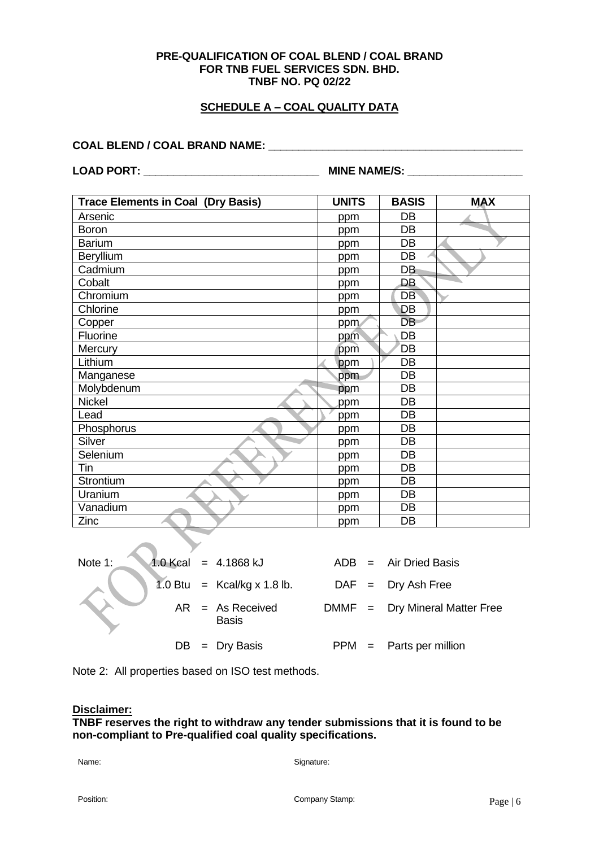#### **SCHEDULE A – COAL QUALITY DATA**

#### **COAL BLEND / COAL BRAND NAME: \_\_\_\_\_\_\_\_\_\_\_\_\_\_\_\_\_\_\_\_\_\_\_\_\_\_\_\_\_\_\_\_\_\_\_\_\_\_\_\_\_\_**

**LOAD PORT: \_\_\_\_\_\_\_\_\_\_\_\_\_\_\_\_\_\_\_\_\_\_\_\_\_\_\_\_\_ MINE NAME/S: \_\_\_\_\_\_\_\_\_\_\_\_\_\_\_\_\_\_\_**

| <b>Trace Elements in Coal (Dry Basis)</b> | <b>UNITS</b> | <b>BASIS</b> | <b>MAX</b> |
|-------------------------------------------|--------------|--------------|------------|
| Arsenic                                   | ppm          | DB           |            |
| Boron                                     | ppm          | DB           |            |
| <b>Barium</b>                             | ppm          | DB           |            |
| Beryllium                                 | ppm          | DB           |            |
| Cadmium                                   | ppm          | DB           |            |
| Cobalt                                    | ppm          | DB           |            |
| Chromium                                  | ppm          | DB           |            |
| Chlorine                                  | ppm          | DB           |            |
| Copper                                    | ppm          | <b>DB</b>    |            |
| Fluorine                                  | ppm          | DB           |            |
| Mercury                                   | ppm          | DB           |            |
| Lithium                                   | ppm          | DB           |            |
| Manganese                                 | ppm          | DB           |            |
| Molybdenum                                | ppm          | DB           |            |
| <b>Nickel</b>                             | ppm          | DB           |            |
| Lead                                      | ppm          | DB           |            |
| Phosphorus                                | ppm          | DB           |            |
| Silver                                    | ppm          | DB           |            |
| Selenium                                  | ppm          | DB           |            |
| Tin                                       | ppm          | DB           |            |
| Strontium                                 | ppm          | DB           |            |
| Uranium                                   | ppm          | DB           |            |
| Vanadium                                  | ppm          | DB           |            |
| Zinc                                      | ppm          | DB           |            |

| Note 1: | $1.0$ Kcal = 4.1868 kJ             |  | $ADB = Air Dried Basis$          |
|---------|------------------------------------|--|----------------------------------|
|         | 1.0 Btu = $Kcal/kg \times 1.8$ lb. |  | $DAF = Dry Ash Free$             |
|         | $AR = As Received$<br><b>Basis</b> |  | $DMMF = Dry Mineral Matter Free$ |
|         | $DB = Dry Basis$                   |  | $PPM =$ Parts per million        |

Note 2: All properties based on ISO test methods.

#### **Disclaimer:**

#### **TNBF reserves the right to withdraw any tender submissions that it is found to be non-compliant to Pre-qualified coal quality specifications.**

Name: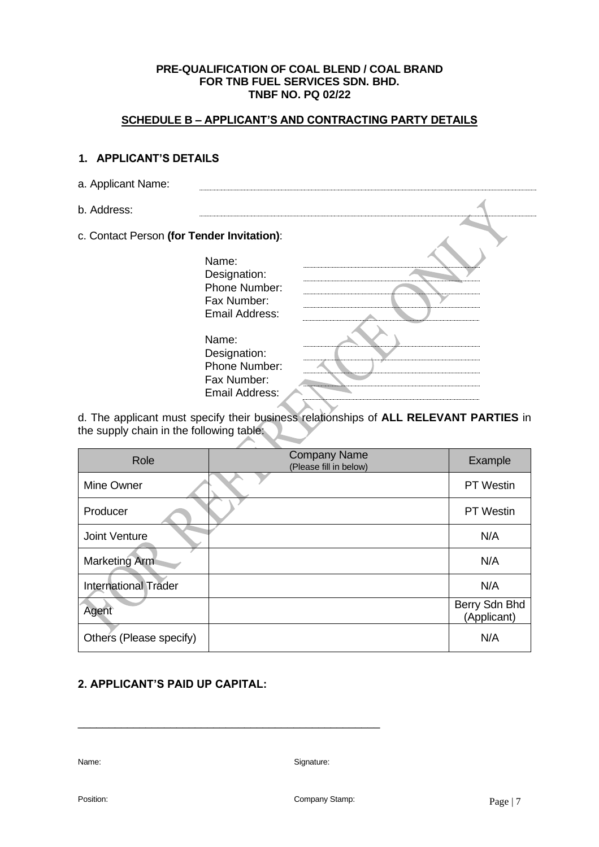## **SCHEDULE B – APPLICANT'S AND CONTRACTING PARTY DETAILS**

### **1. APPLICANT'S DETAILS**

| a. Applicant Name:                         |                |  |
|--------------------------------------------|----------------|--|
| b. Address:                                |                |  |
| c. Contact Person (for Tender Invitation): |                |  |
|                                            | Name:          |  |
|                                            | Designation:   |  |
|                                            | Phone Number:  |  |
|                                            | Fax Number:    |  |
|                                            | Email Address: |  |
|                                            |                |  |
|                                            | Name:          |  |
|                                            | Designation:   |  |
|                                            | Phone Number:  |  |
|                                            | Fax Number:    |  |
|                                            | Email Address: |  |
|                                            |                |  |

d. The applicant must specify their business relationships of **ALL RELEVANT PARTIES** in the supply chain in the following table:

| Role                        | <b>Company Name</b><br>(Please fill in below) | Example                      |
|-----------------------------|-----------------------------------------------|------------------------------|
| Mine Owner                  |                                               | <b>PT</b> Westin             |
| Producer                    |                                               | <b>PT</b> Westin             |
| Joint Venture               |                                               | N/A                          |
| Marketing Arm               |                                               | N/A                          |
| <b>International Trader</b> |                                               | N/A                          |
| Agent                       |                                               | Berry Sdn Bhd<br>(Applicant) |
| Others (Please specify)     |                                               | N/A                          |

## **2. APPLICANT'S PAID UP CAPITAL:**

\_\_\_\_\_\_\_\_\_\_\_\_\_\_\_\_\_\_\_\_\_\_\_\_\_\_\_\_\_\_\_\_\_\_\_\_\_\_\_\_\_\_\_\_\_\_\_\_\_

Name: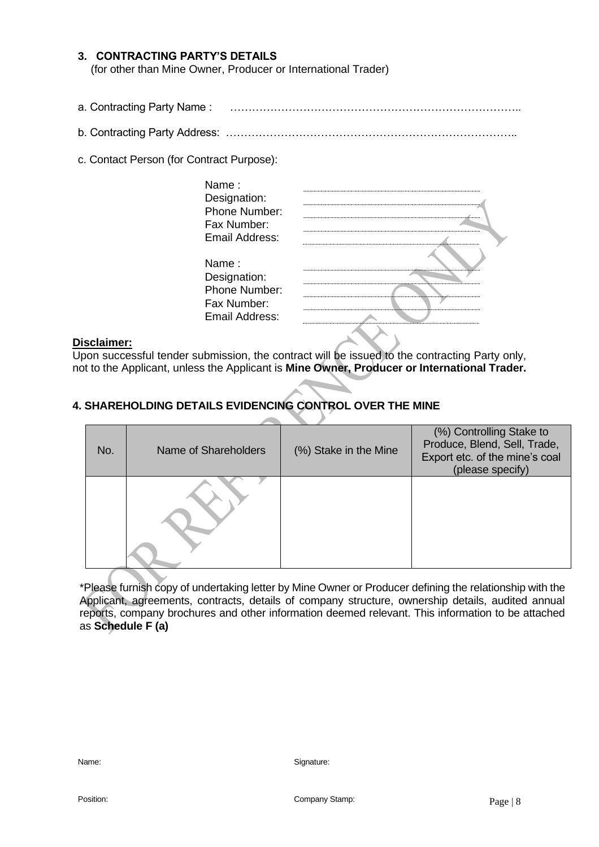## **3. CONTRACTING PARTY'S DETAILS**

(for other than Mine Owner, Producer or International Trader)

- a. Contracting Party Name : ……………………………………………………………………..
- b. Contracting Party Address: ……………………………………………………………………..
- c. Contact Person (for Contract Purpose):

| Name :<br>Designation:<br>Phone Number: |  |
|-----------------------------------------|--|
| Fax Number:                             |  |
| Email Address:                          |  |
| Name :                                  |  |
| Designation:                            |  |
| Phone Number:                           |  |
| Fax Number:                             |  |
| Email Address:                          |  |
|                                         |  |

#### **Disclaimer:**

Upon successful tender submission, the contract will be issued to the contracting Party only, not to the Applicant, unless the Applicant is **Mine Owner, Producer or International Trader.**

## **4. SHAREHOLDING DETAILS EVIDENCING CONTROL OVER THE MINE**

| No. | Name of Shareholders | (%) Stake in the Mine | (%) Controlling Stake to<br>Produce, Blend, Sell, Trade,<br>Export etc. of the mine's coal<br>(please specify) |
|-----|----------------------|-----------------------|----------------------------------------------------------------------------------------------------------------|
|     |                      |                       |                                                                                                                |

\*Please furnish copy of undertaking letter by Mine Owner or Producer defining the relationship with the Applicant, agreements, contracts, details of company structure, ownership details, audited annual reports, company brochures and other information deemed relevant. This information to be attached as **Schedule F (a)**

Position: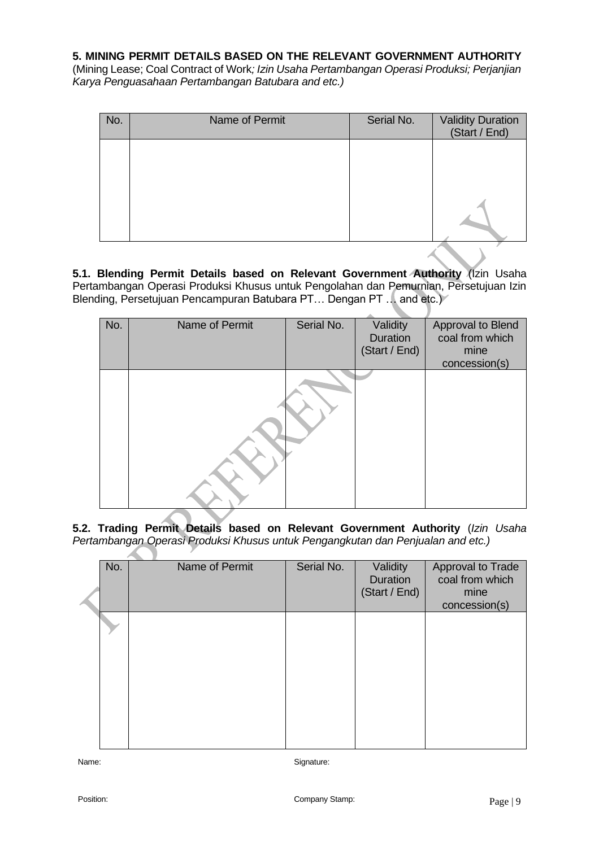#### **5. MINING PERMIT DETAILS BASED ON THE RELEVANT GOVERNMENT AUTHORITY**

(Mining Lease; Coal Contract of Work*; Izin Usaha Pertambangan Operasi Produksi; Perjanjian Karya Penguasahaan Pertambangan Batubara and etc.)*

| No. | Name of Permit | Serial No. | <b>Validity Duration</b><br>(Start / End) |
|-----|----------------|------------|-------------------------------------------|
|     |                |            |                                           |
|     |                |            |                                           |
|     |                |            |                                           |

**5.1. Blending Permit Details based on Relevant Government Authority** (Izin Usaha Pertambangan Operasi Produksi Khusus untuk Pengolahan dan Pemurnian, Persetujuan Izin Blending, Persetujuan Pencampuran Batubara PT... Dengan PT... and etc.)

| No. | Name of Permit | Serial No. | Validity      | Approval to Blend |
|-----|----------------|------------|---------------|-------------------|
|     |                |            | Duration      | coal from which   |
|     |                |            | (Start / End) | mine              |
|     |                |            |               | concession(s)     |
|     |                |            |               |                   |

**5.2. Trading Permit Details based on Relevant Government Authority** (*Izin Usaha Pertambangan Operasi Produksi Khusus untuk Pengangkutan dan Penjualan and etc.)*

| No. | Name of Permit | Serial No. | Validity<br><b>Duration</b><br>(Start / End) | Approval to Trade<br>coal from which<br>mine<br>concession(s) |
|-----|----------------|------------|----------------------------------------------|---------------------------------------------------------------|
|     |                |            |                                              |                                                               |
|     |                |            |                                              |                                                               |

Name:

Position: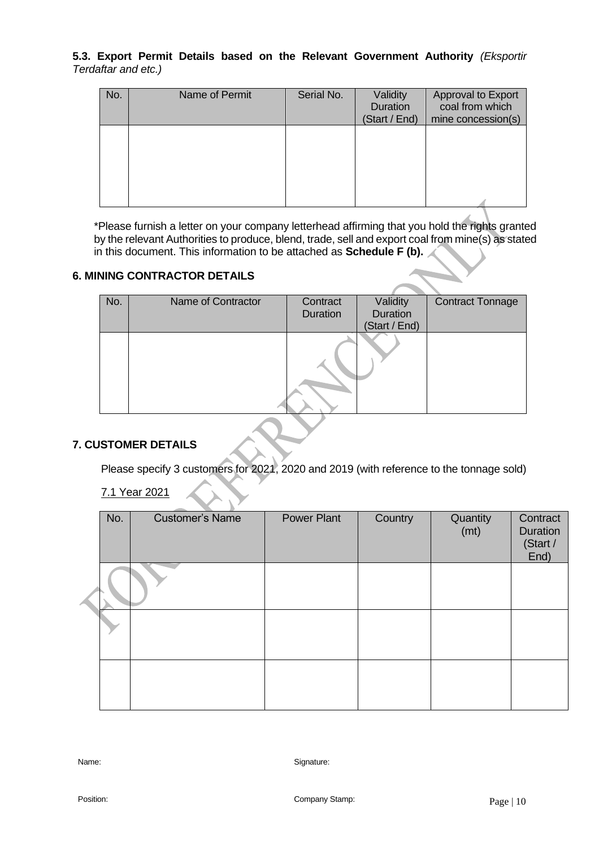### **5.3. Export Permit Details based on the Relevant Government Authority** *(Eksportir Terdaftar and etc.)*

| No. | Name of Permit | Serial No. | Validity<br>Duration<br>(Start / End) | Approval to Export<br>coal from which<br>mine concession(s) |
|-----|----------------|------------|---------------------------------------|-------------------------------------------------------------|
|     |                |            |                                       |                                                             |
|     |                |            |                                       |                                                             |

\*Please furnish a letter on your company letterhead affirming that you hold the rights granted by the relevant Authorities to produce, blend, trade, sell and export coal from mine(s) as stated in this document. This information to be attached as **Schedule F (b).**

#### **6. MINING CONTRACTOR DETAILS**

| Validity<br>Name of Contractor<br>Contract<br>No.<br>Duration<br>Duration<br>(Start / End) |  |  |                         |
|--------------------------------------------------------------------------------------------|--|--|-------------------------|
|                                                                                            |  |  | <b>Contract Tonnage</b> |
|                                                                                            |  |  |                         |
|                                                                                            |  |  |                         |
|                                                                                            |  |  |                         |

## **7. CUSTOMER DETAILS**

Please specify 3 customers for 2021, 2020 and 2019 (with reference to the tonnage sold)

7.1 Year 2021

| No. | <b>Customer's Name</b> | <b>Power Plant</b> | Country | Quantity<br>(mt) | Contract<br>Duration<br>(Start /<br>End) |
|-----|------------------------|--------------------|---------|------------------|------------------------------------------|
|     |                        |                    |         |                  |                                          |
|     |                        |                    |         |                  |                                          |
|     |                        |                    |         |                  |                                          |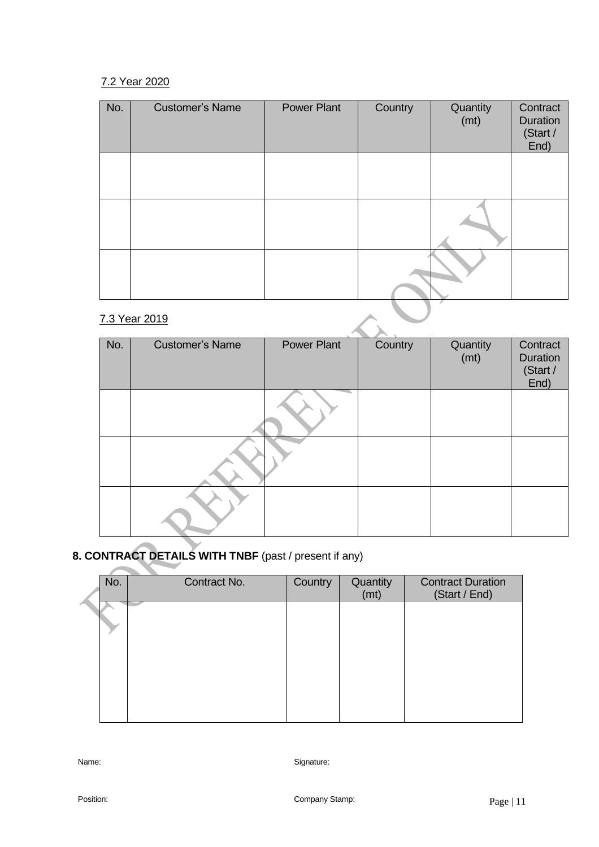## 7.2 Year 2020

| No. | <b>Customer's Name</b> | <b>Power Plant</b> | Country | Quantity<br>(mt) | Contract<br><b>Duration</b><br>(Start /<br>End) |
|-----|------------------------|--------------------|---------|------------------|-------------------------------------------------|
|     |                        |                    |         |                  |                                                 |
|     |                        |                    |         |                  |                                                 |
|     |                        |                    |         |                  |                                                 |
|     | 7.3 Year 2019          |                    |         |                  |                                                 |

## 7.3 Year 2019

| No. | <b>Customer's Name</b> | Power Plant | Country | Quantity<br>(mt) | Contract<br>Duration<br>(Start /<br>End) |
|-----|------------------------|-------------|---------|------------------|------------------------------------------|
|     |                        |             |         |                  |                                          |
|     |                        |             |         |                  |                                          |
|     |                        |             |         |                  |                                          |

# **8. CONTRACT DETAILS WITH TNBF** (past / present if any)

| No. | Contract No. | Country | Quantity<br>(mt) | <b>Contract Duration</b><br>(Start / End) |
|-----|--------------|---------|------------------|-------------------------------------------|
|     |              |         |                  |                                           |
|     |              |         |                  |                                           |
|     |              |         |                  |                                           |
|     |              |         |                  |                                           |
|     |              |         |                  |                                           |

Name: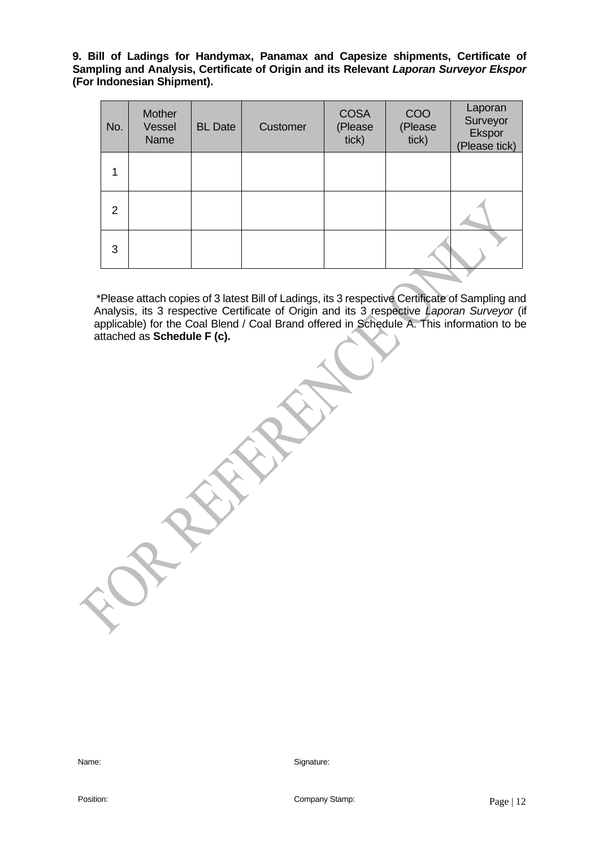**9. Bill of Ladings for Handymax, Panamax and Capesize shipments, Certificate of Sampling and Analysis, Certificate of Origin and its Relevant** *Laporan Surveyor Ekspor* **(For Indonesian Shipment).**

| No. | Mother<br>Vessel<br>Name | <b>BL</b> Date | Customer | <b>COSA</b><br>(Please<br>tick) | COO<br>(Please<br>tick) | Laporan<br>Surveyor<br>Ekspor<br>(Please tick) |  |  |  |
|-----|--------------------------|----------------|----------|---------------------------------|-------------------------|------------------------------------------------|--|--|--|
| 1   |                          |                |          |                                 |                         |                                                |  |  |  |
| 2   |                          |                |          |                                 |                         |                                                |  |  |  |
| 3   |                          |                |          |                                 |                         |                                                |  |  |  |
|     |                          |                |          |                                 |                         |                                                |  |  |  |

 \*Please attach copies of 3 latest Bill of Ladings, its 3 respective Certificate of Sampling and Analysis, its 3 respective Certificate of Origin and its 3 respective *Laporan Surveyor* (if applicable) for the Coal Blend / Coal Brand offered in Schedule A. This information to be attached as **Schedule F (c).** 

Name: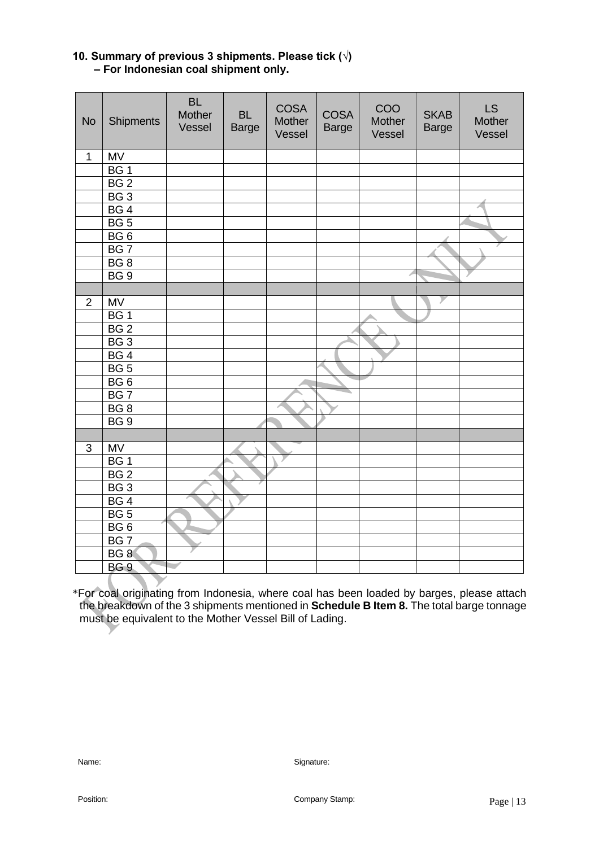## **10. Summary of previous 3 shipments. Please tick (√) – For Indonesian coal shipment only.**

| <b>No</b>      | Shipments       | <b>BL</b><br>Mother<br>Vessel | <b>BL</b><br><b>Barge</b> | <b>COSA</b><br>Mother<br>Vessel | <b>COSA</b><br><b>Barge</b> | COO<br>Mother<br>Vessel | <b>SKAB</b><br><b>Barge</b> | LS<br>Mother<br>Vessel |
|----------------|-----------------|-------------------------------|---------------------------|---------------------------------|-----------------------------|-------------------------|-----------------------------|------------------------|
| 1              | <b>MV</b>       |                               |                           |                                 |                             |                         |                             |                        |
|                | BG <sub>1</sub> |                               |                           |                                 |                             |                         |                             |                        |
|                | BG <sub>2</sub> |                               |                           |                                 |                             |                         |                             |                        |
|                | BG3             |                               |                           |                                 |                             |                         |                             |                        |
|                | BG4             |                               |                           |                                 |                             |                         |                             |                        |
|                | BG 5            |                               |                           |                                 |                             |                         |                             |                        |
|                | BG <sub>6</sub> |                               |                           |                                 |                             |                         |                             |                        |
|                | BG <sub>7</sub> |                               |                           |                                 |                             |                         |                             |                        |
|                | BG <sub>8</sub> |                               |                           |                                 |                             |                         |                             |                        |
|                | BG <sub>9</sub> |                               |                           |                                 |                             |                         |                             |                        |
|                |                 |                               |                           |                                 |                             |                         |                             |                        |
| $\overline{2}$ | <b>MV</b>       |                               |                           |                                 |                             |                         |                             |                        |
|                | BG <sub>1</sub> |                               |                           |                                 |                             |                         |                             |                        |
|                | BG <sub>2</sub> |                               |                           |                                 |                             |                         |                             |                        |
|                | BG3             |                               |                           |                                 |                             |                         |                             |                        |
|                | BG4             |                               |                           |                                 |                             |                         |                             |                        |
|                | BG 5            |                               |                           |                                 |                             |                         |                             |                        |
|                | BG6             |                               |                           |                                 |                             |                         |                             |                        |
|                | BG <sub>7</sub> |                               |                           |                                 |                             |                         |                             |                        |
|                | BG <sub>8</sub> |                               |                           |                                 |                             |                         |                             |                        |
|                | BG <sub>9</sub> |                               |                           |                                 |                             |                         |                             |                        |
|                |                 |                               |                           |                                 |                             |                         |                             |                        |
| 3              | MV              |                               |                           |                                 |                             |                         |                             |                        |
|                | BG <sub>1</sub> |                               |                           |                                 |                             |                         |                             |                        |
|                | BG <sub>2</sub> |                               |                           |                                 |                             |                         |                             |                        |
|                | BG3             |                               |                           |                                 |                             |                         |                             |                        |
|                | BG4             |                               |                           |                                 |                             |                         |                             |                        |
|                | BG <sub>5</sub> |                               |                           |                                 |                             |                         |                             |                        |
|                | BG6             |                               |                           |                                 |                             |                         |                             |                        |
|                | BG <sub>7</sub> |                               |                           |                                 |                             |                         |                             |                        |
|                | BG <sub>8</sub> |                               |                           |                                 |                             |                         |                             |                        |
|                | BG <sub>9</sub> |                               |                           |                                 |                             |                         |                             |                        |

\*For coal originating from Indonesia, where coal has been loaded by barges, please attach the breakdown of the 3 shipments mentioned in **Schedule B Item 8.** The total barge tonnage must be equivalent to the Mother Vessel Bill of Lading.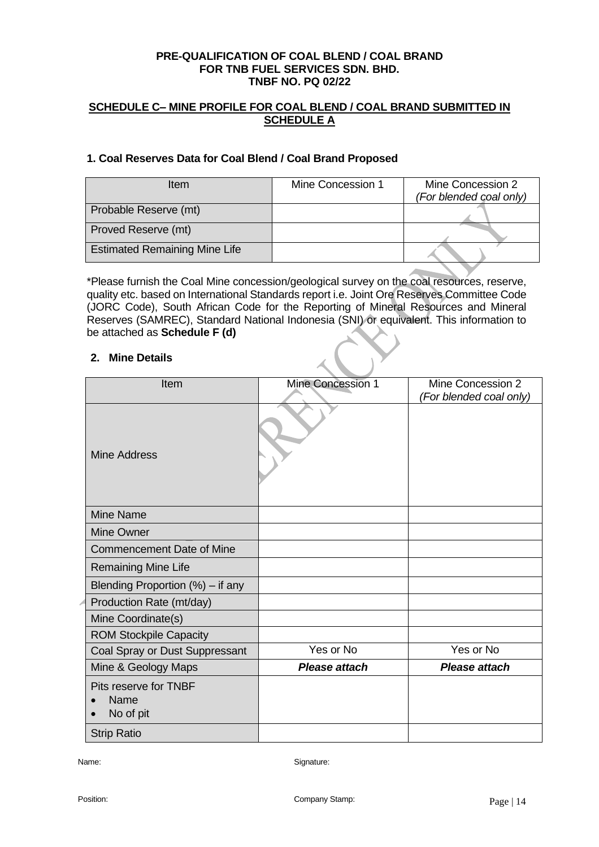### **SCHEDULE C– MINE PROFILE FOR COAL BLEND / COAL BRAND SUBMITTED IN SCHEDULE A**

#### **1. Coal Reserves Data for Coal Blend / Coal Brand Proposed**

| <b>Item</b>                          | Mine Concession 1 | Mine Concession 2<br>(For blended coal only) |
|--------------------------------------|-------------------|----------------------------------------------|
| Probable Reserve (mt)                |                   |                                              |
| Proved Reserve (mt)                  |                   |                                              |
| <b>Estimated Remaining Mine Life</b> |                   |                                              |

\*Please furnish the Coal Mine concession/geological survey on the coal resources, reserve, quality etc. based on International Standards report i.e. Joint Ore Reserves Committee Code (JORC Code), South African Code for the Reporting of Mineral Resources and Mineral Reserves (SAMREC), Standard National Indonesia (SNI) or equivalent. This information to be attached as **Schedule F (d)**

#### **2. Mine Details**

| Item                                       | Mine Concession 1    | Mine Concession 2<br>(For blended coal only) |
|--------------------------------------------|----------------------|----------------------------------------------|
| Mine Address                               |                      |                                              |
| Mine Name                                  |                      |                                              |
| <b>Mine Owner</b>                          |                      |                                              |
| <b>Commencement Date of Mine</b>           |                      |                                              |
| <b>Remaining Mine Life</b>                 |                      |                                              |
| Blending Proportion $(\%)$ – if any        |                      |                                              |
| Production Rate (mt/day)                   |                      |                                              |
| Mine Coordinate(s)                         |                      |                                              |
| <b>ROM Stockpile Capacity</b>              |                      |                                              |
| Coal Spray or Dust Suppressant             | Yes or No            | Yes or No                                    |
| Mine & Geology Maps                        | <b>Please attach</b> | Please attach                                |
| Pits reserve for TNBF<br>Name<br>No of pit |                      |                                              |
| <b>Strip Ratio</b>                         |                      |                                              |

Name: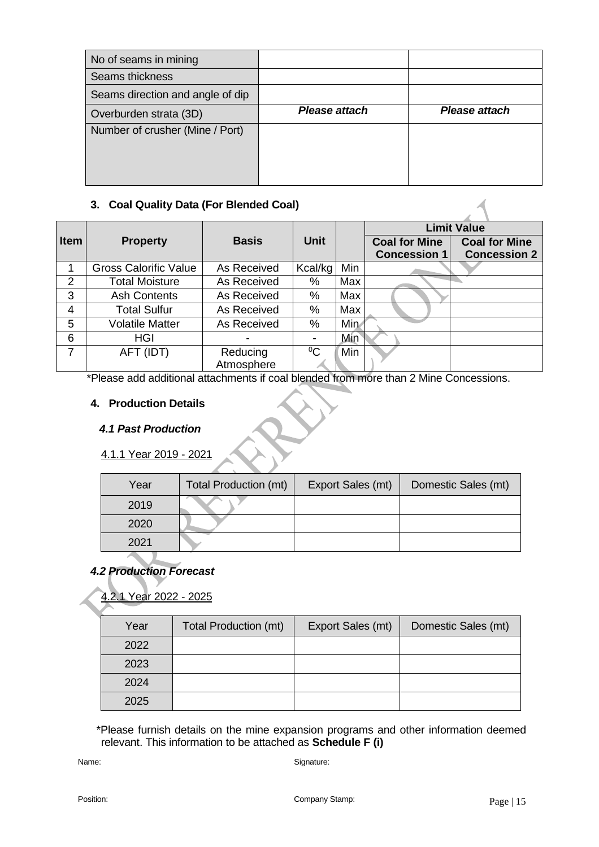| Please attach | Please attach |
|---------------|---------------|
|               |               |
|               |               |
|               |               |
|               |               |

## **3. Coal Quality Data (For Blended Coal)**

|             |                              |              |             |      | <b>Limit Value</b>   |                      |  |
|-------------|------------------------------|--------------|-------------|------|----------------------|----------------------|--|
| <b>Item</b> | <b>Property</b>              | <b>Basis</b> | <b>Unit</b> |      | <b>Coal for Mine</b> | <b>Coal for Mine</b> |  |
|             |                              |              |             |      | <b>Concession 1</b>  | <b>Concession 2</b>  |  |
|             | <b>Gross Calorific Value</b> | As Received  | Kcal/kg     | Min  |                      |                      |  |
| 2           | <b>Total Moisture</b>        | As Received  | %           | Max  |                      |                      |  |
| 3           | <b>Ash Contents</b>          | As Received  | $\%$        | Max  |                      |                      |  |
| 4           | <b>Total Sulfur</b>          | As Received  | %           | Max  |                      |                      |  |
| 5           | <b>Volatile Matter</b>       | As Received  | %           | Min. |                      |                      |  |
| 6           | <b>HGI</b>                   |              |             | Min  |                      |                      |  |
| 7           | AFT (IDT)                    | Reducing     | $\rm ^{0}C$ | Min  |                      |                      |  |
|             |                              | Atmosphere   |             |      |                      |                      |  |

\*Please add additional attachments if coal blended from more than 2 Mine Concessions.

## **4. Production Details**

## *4.1 Past Production*

4.1.1 Year 2019 - 202

| Year | Total Production (mt) | Export Sales (mt) | Domestic Sales (mt) |
|------|-----------------------|-------------------|---------------------|
| 2019 |                       |                   |                     |
| 2020 |                       |                   |                     |
| 2021 |                       |                   |                     |

## *4.2 Production Forecast*

Year 2022 - 2025

| Year | Total Production (mt) | Export Sales (mt) | Domestic Sales (mt) |
|------|-----------------------|-------------------|---------------------|
| 2022 |                       |                   |                     |
| 2023 |                       |                   |                     |
| 2024 |                       |                   |                     |
| 2025 |                       |                   |                     |

 \*Please furnish details on the mine expansion programs and other information deemed relevant. This information to be attached as **Schedule F (i)**

Name: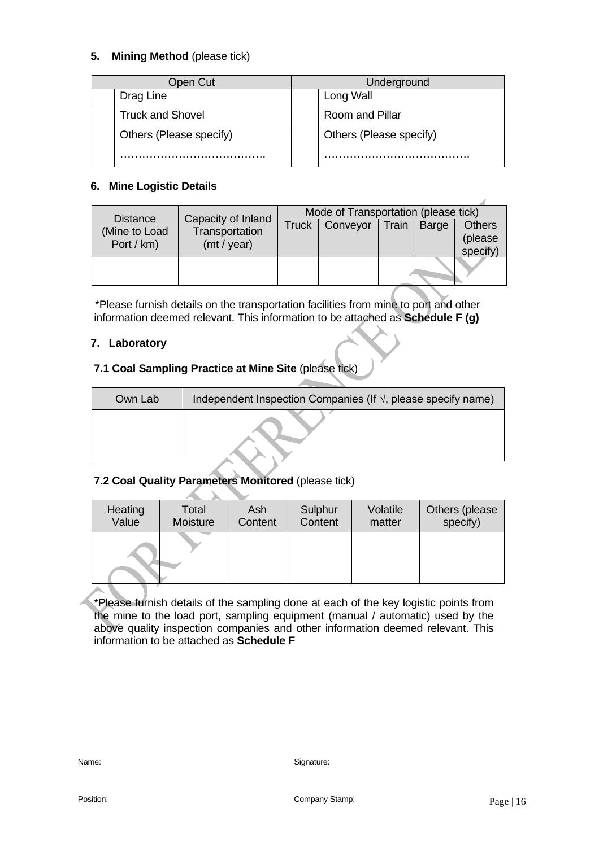## **5. Mining Method** (please tick)

| Open Cut                | Underground             |
|-------------------------|-------------------------|
| Drag Line               | Long Wall               |
| <b>Truck and Shovel</b> | Room and Pillar         |
| Others (Please specify) | Others (Please specify) |

## **6. Mine Logistic Details**

| <b>Distance</b>             | Capacity of Inland<br>Transportation<br>(mt / year) | Mode of Transportation (please tick) |          |       |       |                                      |
|-----------------------------|-----------------------------------------------------|--------------------------------------|----------|-------|-------|--------------------------------------|
| (Mine to Load<br>Port / km) |                                                     | <b>Truck</b>                         | Conveyor | Train | Barge | <b>Others</b><br>(please<br>specify) |
|                             |                                                     |                                      |          |       |       |                                      |

 \*Please furnish details on the transportation facilities from mine to port and other information deemed relevant. This information to be attached as **Schedule F (g)**

## **7. Laboratory**

## **7.1 Coal Sampling Practice at Mine Site** (please tick)

| Own Lab | Independent Inspection Companies (If $\sqrt{ }$ , please specify name) |
|---------|------------------------------------------------------------------------|
|         |                                                                        |

## **7.2 Coal Quality Parameters Monitored** (please tick)

| Heating | Total    | Ash     | Sulphur | Volatile | Others (please |
|---------|----------|---------|---------|----------|----------------|
| Value   | Moisture | Content | Content | matter   | specify)       |
|         |          |         |         |          |                |

\*Please furnish details of the sampling done at each of the key logistic points from the mine to the load port, sampling equipment (manual / automatic) used by the above quality inspection companies and other information deemed relevant. This information to be attached as **Schedule F**

Name: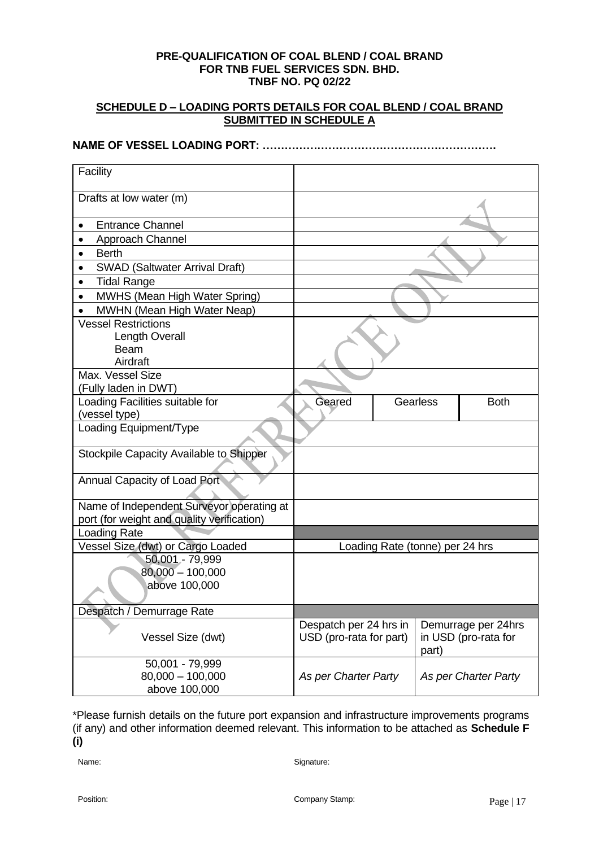#### **SCHEDULE D – LOADING PORTS DETAILS FOR COAL BLEND / COAL BRAND SUBMITTED IN SCHEDULE A**

**NAME OF VESSEL LOADING PORT: ……………………………………………………….**

## **Facility** Drafts at low water (m) • Entrance Channel • Approach Channel • Berth • SWAD (Saltwater Arrival Draft) • Tidal Range • MWHS (Mean High Water Spring) • MWHN (Mean High Water Neap) Vessel Restrictions Length Overall Beam Airdraft Max. Vessel Size (Fully laden in DWT) Loading Facilities suitable for (vessel type) Geared Gearless Both Loading Equipment/Type Stockpile Capacity Available to Shipper Annual Capacity of Load Port Name of Independent Surveyor operating at port (for weight and quality verification) Loading Rate Vessel Size (dwt) or Cargo Loaded Loading Rate (tonne) per 24 hrs 50,001 - 79,999 80,000 – 100,000 above 100,000 Despatch / Demurrage Rate Vessel Size (dwt) Despatch per 24 hrs in USD (pro-rata for part) Demurrage per 24hrs in USD (pro-rata for part) 50,001 - 79,999 80,000 – 100,000 above 100,000 *As per Charter Party As per Charter Party*

\*Please furnish details on the future port expansion and infrastructure improvements programs (if any) and other information deemed relevant. This information to be attached as **Schedule F (i)**

Name: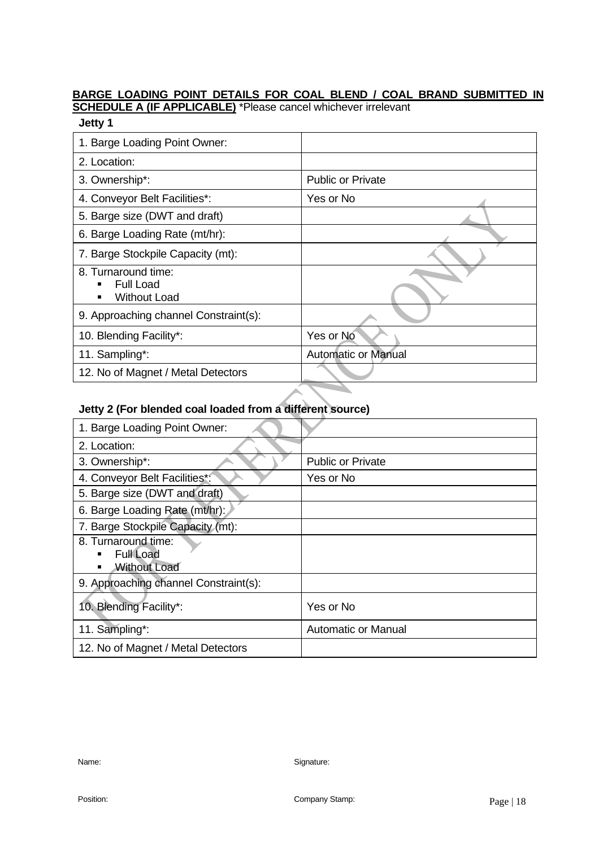## **BARGE LOADING POINT DETAILS FOR COAL BLEND / COAL BRAND SUBMITTED IN**

**SCHEDULE A (IF APPLICABLE)** \*Please cancel whichever irrelevant

## **Jetty 1**

| 1. Barge Loading Point Owner:                                  |                            |
|----------------------------------------------------------------|----------------------------|
| 2. Location:                                                   |                            |
| 3. Ownership*:                                                 | <b>Public or Private</b>   |
| 4. Conveyor Belt Facilities*:                                  | Yes or No                  |
| 5. Barge size (DWT and draft)                                  |                            |
| 6. Barge Loading Rate (mt/hr):                                 |                            |
| 7. Barge Stockpile Capacity (mt):                              |                            |
| 8. Turnaround time:<br><b>Full Load</b><br><b>Without Load</b> |                            |
| 9. Approaching channel Constraint(s):                          |                            |
| 10. Blending Facility*:                                        | Yes or No                  |
| 11. Sampling*:                                                 | <b>Automatic or Manual</b> |
| 12. No of Magnet / Metal Detectors                             |                            |

## **Jetty 2 (For blended coal loaded from a different source)**

| 1. Barge Loading Point Owner:                                       |                            |
|---------------------------------------------------------------------|----------------------------|
| 2. Location:                                                        |                            |
| 3. Ownership*:                                                      | <b>Public or Private</b>   |
| 4. Conveyor Belt Facilities*:                                       | Yes or No                  |
| 5. Barge size (DWT and draft)                                       |                            |
| 6. Barge Loading Rate (mt/hr):                                      |                            |
| 7. Barge Stockpile Capacity (mt):                                   |                            |
| 8. Turnaround time:<br><b>Full Load</b><br><b>Without Load</b><br>٠ |                            |
| 9. Approaching channel Constraint(s):                               |                            |
| 10. Blending Facility*:                                             | Yes or No                  |
| 11. Sampling*:                                                      | <b>Automatic or Manual</b> |
| 12. No of Magnet / Metal Detectors                                  |                            |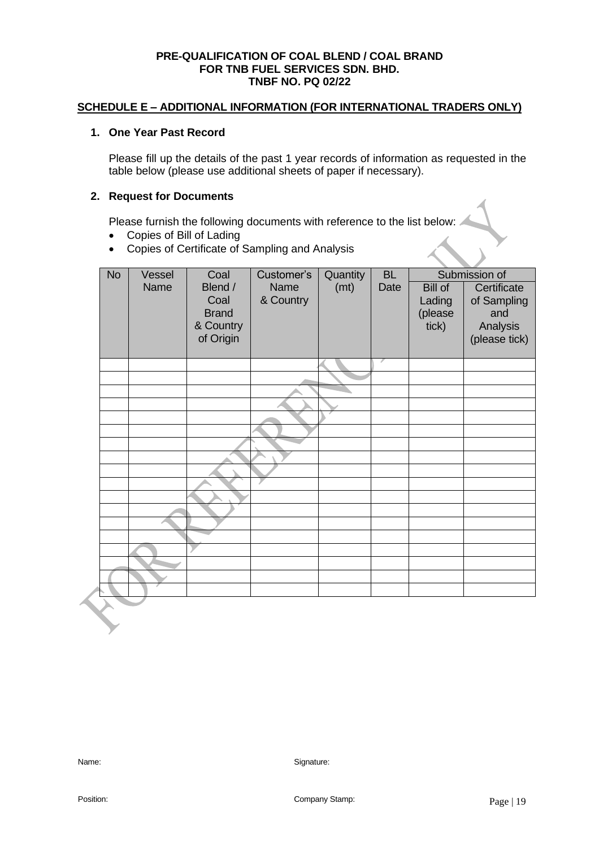#### **SCHEDULE E – ADDITIONAL INFORMATION (FOR INTERNATIONAL TRADERS ONLY)**

#### **1. One Year Past Record**

Please fill up the details of the past 1 year records of information as requested in the table below (please use additional sheets of paper if necessary).

#### **2. Request for Documents**

Please furnish the following documents with reference to the list below:

- Copies of Bill of Lading
- Copies of Certificate of Sampling and Analysis

| <b>No</b> | Vessel | Coal         | Customer's | Quantity | <b>BL</b> | Submission of |               |
|-----------|--------|--------------|------------|----------|-----------|---------------|---------------|
|           | Name   | Blend /      | Name       | (mt)     | Date      | Bill of       | Certificate   |
|           |        | Coal         | & Country  |          |           | Lading        | of Sampling   |
|           |        | <b>Brand</b> |            |          |           | (please       | and           |
|           |        | & Country    |            |          |           | tick)         | Analysis      |
|           |        | of Origin    |            |          |           |               | (please tick) |
|           |        |              |            |          |           |               |               |
|           |        |              |            |          |           |               |               |
|           |        |              |            |          |           |               |               |
|           |        |              |            |          |           |               |               |
|           |        |              |            |          |           |               |               |
|           |        |              |            |          |           |               |               |
|           |        |              |            |          |           |               |               |
|           |        |              |            |          |           |               |               |
|           |        |              |            |          |           |               |               |
|           |        |              |            |          |           |               |               |
|           |        |              |            |          |           |               |               |
|           |        |              |            |          |           |               |               |
|           |        |              |            |          |           |               |               |
|           |        |              |            |          |           |               |               |
|           |        |              |            |          |           |               |               |
|           |        |              |            |          |           |               |               |
|           |        |              |            |          |           |               |               |
|           |        |              |            |          |           |               |               |
|           |        |              |            |          |           |               |               |
|           |        |              |            |          |           |               |               |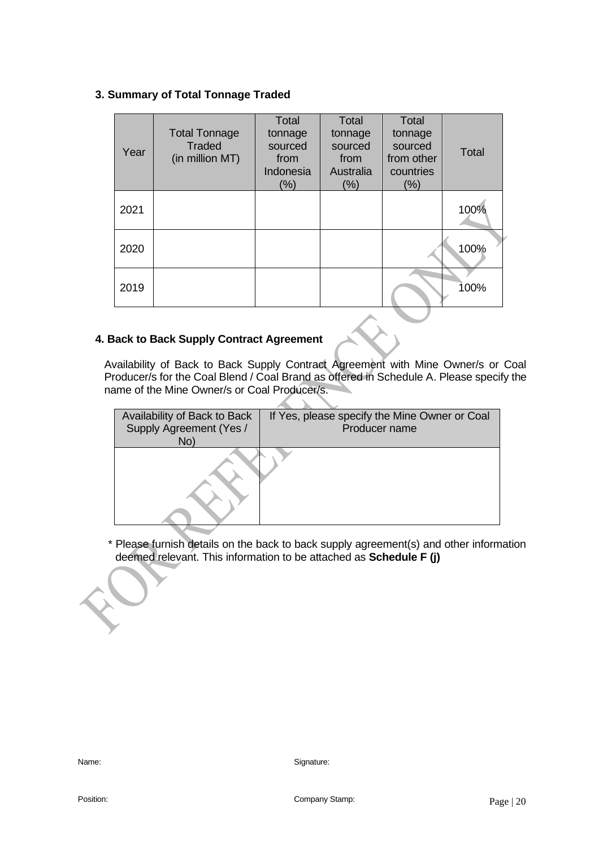#### **3. Summary of Total Tonnage Traded**

| Year | <b>Total Tonnage</b><br><b>Traded</b><br>(in million MT) | Total<br>tonnage<br>sourced<br>from<br>Indonesia<br>(%) | Total<br>tonnage<br>sourced<br>from<br>Australia<br>$(\%)$ | Total<br>tonnage<br>sourced<br>from other<br>countries<br>(%) | Total |
|------|----------------------------------------------------------|---------------------------------------------------------|------------------------------------------------------------|---------------------------------------------------------------|-------|
| 2021 |                                                          |                                                         |                                                            |                                                               | 100%  |
| 2020 |                                                          |                                                         |                                                            |                                                               | 100%  |
| 2019 |                                                          |                                                         |                                                            |                                                               | 100%  |

## **4. Back to Back Supply Contract Agreement**

 Availability of Back to Back Supply Contract Agreement with Mine Owner/s or Coal Producer/s for the Coal Blend / Coal Brand as offered in Schedule A. Please specify the name of the Mine Owner/s or Coal Producer/s.

| Availability of Back to Back<br>Supply Agreement (Yes /<br>No) | If Yes, please specify the Mine Owner or Coal<br>Producer name |
|----------------------------------------------------------------|----------------------------------------------------------------|
|                                                                |                                                                |

\* Please furnish details on the back to back supply agreement(s) and other information deemed relevant. This information to be attached as **Schedule F (j)**

Position: